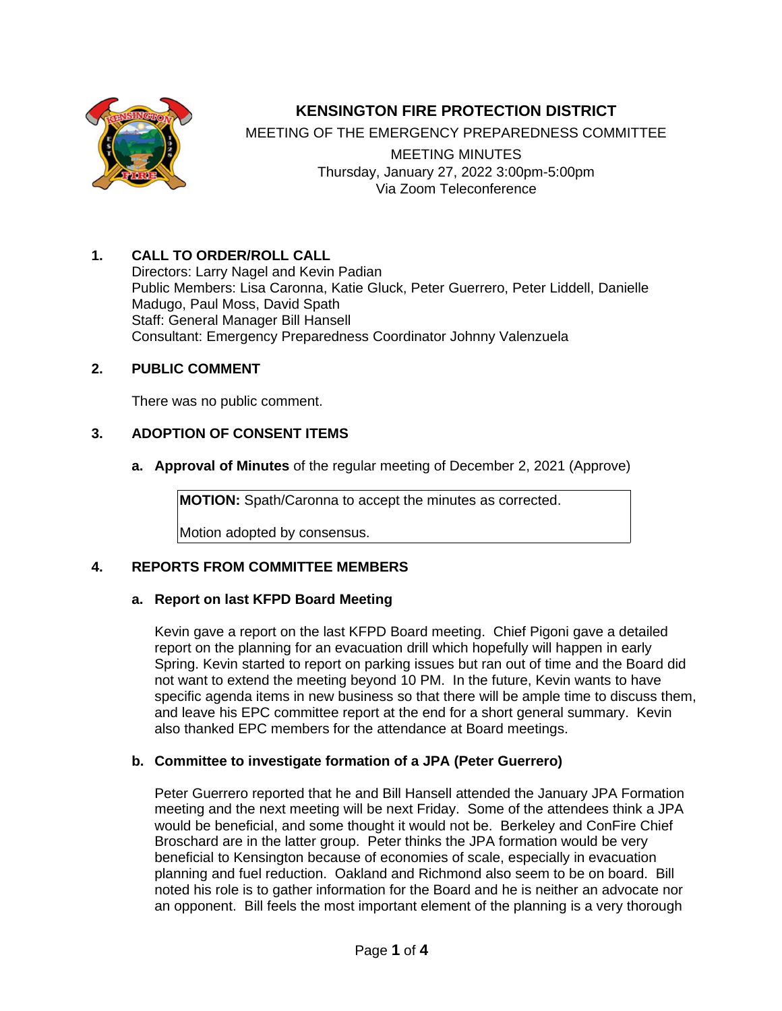

# **KENSINGTON FIRE PROTECTION DISTRICT**

MEETING OF THE EMERGENCY PREPAREDNESS COMMITTEE

MEETING MINUTES Thursday, January 27, 2022 3:00pm-5:00pm Via Zoom Teleconference

# **1. CALL TO ORDER/ROLL CALL**

Directors: Larry Nagel and Kevin Padian Public Members: Lisa Caronna, Katie Gluck, Peter Guerrero, Peter Liddell, Danielle Madugo, Paul Moss, David Spath Staff: General Manager Bill Hansell Consultant: Emergency Preparedness Coordinator Johnny Valenzuela

# **2. PUBLIC COMMENT**

There was no public comment.

# **3. ADOPTION OF CONSENT ITEMS**

**a. Approval of Minutes** of the regular meeting of December 2, 2021 (Approve)

**MOTION:** Spath/Caronna to accept the minutes as corrected.

Motion adopted by consensus.

# **4. REPORTS FROM COMMITTEE MEMBERS**

#### **a. Report on last KFPD Board Meeting**

Kevin gave a report on the last KFPD Board meeting. Chief Pigoni gave a detailed report on the planning for an evacuation drill which hopefully will happen in early Spring. Kevin started to report on parking issues but ran out of time and the Board did not want to extend the meeting beyond 10 PM. In the future, Kevin wants to have specific agenda items in new business so that there will be ample time to discuss them, and leave his EPC committee report at the end for a short general summary. Kevin also thanked EPC members for the attendance at Board meetings.

#### **b. Committee to investigate formation of a JPA (Peter Guerrero)**

Peter Guerrero reported that he and Bill Hansell attended the January JPA Formation meeting and the next meeting will be next Friday. Some of the attendees think a JPA would be beneficial, and some thought it would not be. Berkeley and ConFire Chief Broschard are in the latter group. Peter thinks the JPA formation would be very beneficial to Kensington because of economies of scale, especially in evacuation planning and fuel reduction. Oakland and Richmond also seem to be on board. Bill noted his role is to gather information for the Board and he is neither an advocate nor an opponent. Bill feels the most important element of the planning is a very thorough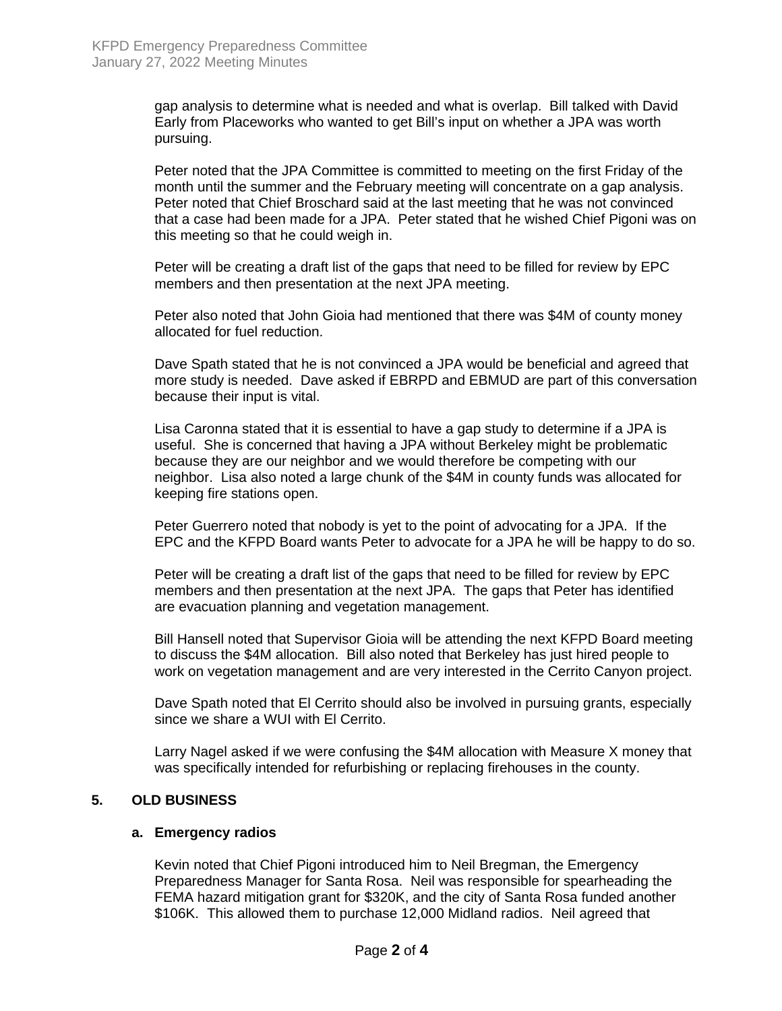gap analysis to determine what is needed and what is overlap. Bill talked with David Early from Placeworks who wanted to get Bill's input on whether a JPA was worth pursuing.

Peter noted that the JPA Committee is committed to meeting on the first Friday of the month until the summer and the February meeting will concentrate on a gap analysis. Peter noted that Chief Broschard said at the last meeting that he was not convinced that a case had been made for a JPA. Peter stated that he wished Chief Pigoni was on this meeting so that he could weigh in.

Peter will be creating a draft list of the gaps that need to be filled for review by EPC members and then presentation at the next JPA meeting.

Peter also noted that John Gioia had mentioned that there was \$4M of county money allocated for fuel reduction.

Dave Spath stated that he is not convinced a JPA would be beneficial and agreed that more study is needed. Dave asked if EBRPD and EBMUD are part of this conversation because their input is vital.

Lisa Caronna stated that it is essential to have a gap study to determine if a JPA is useful. She is concerned that having a JPA without Berkeley might be problematic because they are our neighbor and we would therefore be competing with our neighbor. Lisa also noted a large chunk of the \$4M in county funds was allocated for keeping fire stations open.

Peter Guerrero noted that nobody is yet to the point of advocating for a JPA. If the EPC and the KFPD Board wants Peter to advocate for a JPA he will be happy to do so.

Peter will be creating a draft list of the gaps that need to be filled for review by EPC members and then presentation at the next JPA. The gaps that Peter has identified are evacuation planning and vegetation management.

Bill Hansell noted that Supervisor Gioia will be attending the next KFPD Board meeting to discuss the \$4M allocation. Bill also noted that Berkeley has just hired people to work on vegetation management and are very interested in the Cerrito Canyon project.

Dave Spath noted that El Cerrito should also be involved in pursuing grants, especially since we share a WUI with El Cerrito.

Larry Nagel asked if we were confusing the \$4M allocation with Measure X money that was specifically intended for refurbishing or replacing firehouses in the county.

#### **5. OLD BUSINESS**

#### **a. Emergency radios**

Kevin noted that Chief Pigoni introduced him to Neil Bregman, the Emergency Preparedness Manager for Santa Rosa. Neil was responsible for spearheading the FEMA hazard mitigation grant for \$320K, and the city of Santa Rosa funded another \$106K. This allowed them to purchase 12,000 Midland radios. Neil agreed that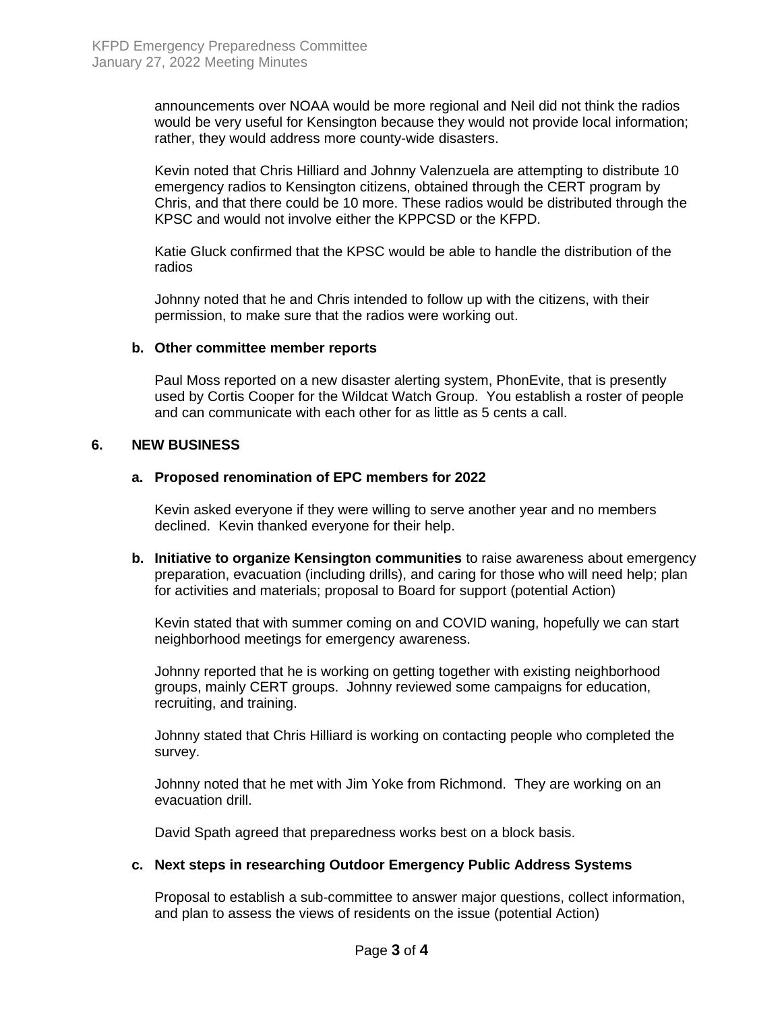announcements over NOAA would be more regional and Neil did not think the radios would be very useful for Kensington because they would not provide local information; rather, they would address more county-wide disasters.

Kevin noted that Chris Hilliard and Johnny Valenzuela are attempting to distribute 10 emergency radios to Kensington citizens, obtained through the CERT program by Chris, and that there could be 10 more. These radios would be distributed through the KPSC and would not involve either the KPPCSD or the KFPD.

Katie Gluck confirmed that the KPSC would be able to handle the distribution of the radios

Johnny noted that he and Chris intended to follow up with the citizens, with their permission, to make sure that the radios were working out.

#### **b. Other committee member reports**

Paul Moss reported on a new disaster alerting system, PhonEvite, that is presently used by Cortis Cooper for the Wildcat Watch Group. You establish a roster of people and can communicate with each other for as little as 5 cents a call.

# **6. NEW BUSINESS**

# **a. Proposed renomination of EPC members for 2022**

Kevin asked everyone if they were willing to serve another year and no members declined. Kevin thanked everyone for their help.

**b. Initiative to organize Kensington communities** to raise awareness about emergency preparation, evacuation (including drills), and caring for those who will need help; plan for activities and materials; proposal to Board for support (potential Action)

Kevin stated that with summer coming on and COVID waning, hopefully we can start neighborhood meetings for emergency awareness.

Johnny reported that he is working on getting together with existing neighborhood groups, mainly CERT groups. Johnny reviewed some campaigns for education, recruiting, and training.

Johnny stated that Chris Hilliard is working on contacting people who completed the survey.

Johnny noted that he met with Jim Yoke from Richmond. They are working on an evacuation drill.

David Spath agreed that preparedness works best on a block basis.

#### **c. Next steps in researching Outdoor Emergency Public Address Systems**

Proposal to establish a sub-committee to answer major questions, collect information, and plan to assess the views of residents on the issue (potential Action)